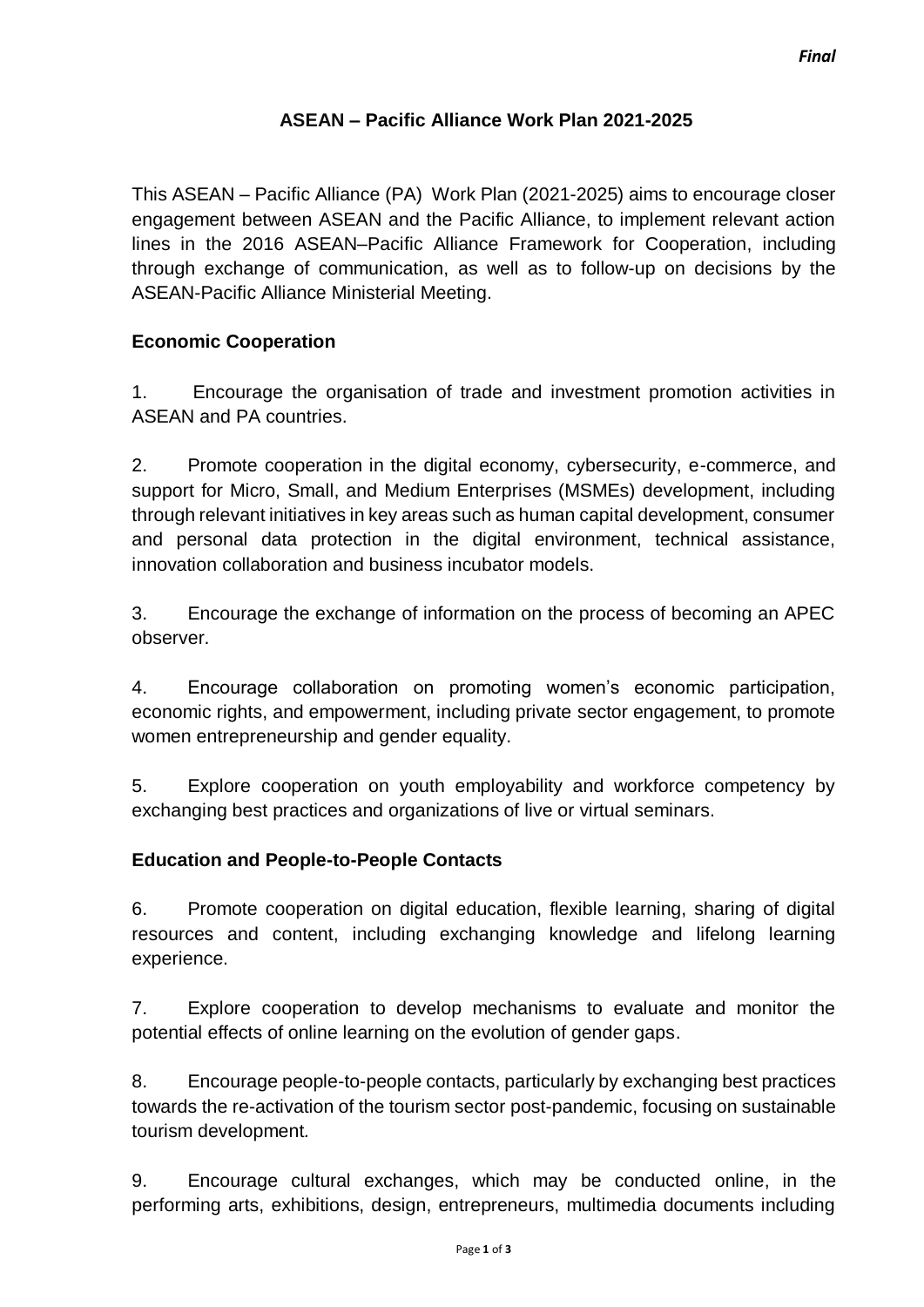## **ASEAN – Pacific Alliance Work Plan 2021-2025**

This ASEAN – Pacific Alliance (PA) Work Plan (2021-2025) aims to encourage closer engagement between ASEAN and the Pacific Alliance, to implement relevant action lines in the 2016 ASEAN–Pacific Alliance Framework for Cooperation, including through exchange of communication, as well as to follow-up on decisions by the ASEAN-Pacific Alliance Ministerial Meeting.

## **Economic Cooperation**

1. Encourage the organisation of trade and investment promotion activities in ASEAN and PA countries.

2. Promote cooperation in the digital economy, cybersecurity, e-commerce, and support for Micro, Small, and Medium Enterprises (MSMEs) development, including through relevant initiatives in key areas such as human capital development, consumer and personal data protection in the digital environment, technical assistance, innovation collaboration and business incubator models.

3. Encourage the exchange of information on the process of becoming an APEC observer.

4. Encourage collaboration on promoting women's economic participation, economic rights, and empowerment, including private sector engagement, to promote women entrepreneurship and gender equality.

5. Explore cooperation on youth employability and workforce competency by exchanging best practices and organizations of live or virtual seminars.

### **Education and People-to-People Contacts**

6. Promote cooperation on digital education, flexible learning, sharing of digital resources and content, including exchanging knowledge and lifelong learning experience.

7. Explore cooperation to develop mechanisms to evaluate and monitor the potential effects of online learning on the evolution of gender gaps.

8. Encourage people-to-people contacts, particularly by exchanging best practices towards the re-activation of the tourism sector post-pandemic, focusing on sustainable tourism development*.*

9. Encourage cultural exchanges, which may be conducted online, in the performing arts, exhibitions, design, entrepreneurs, multimedia documents including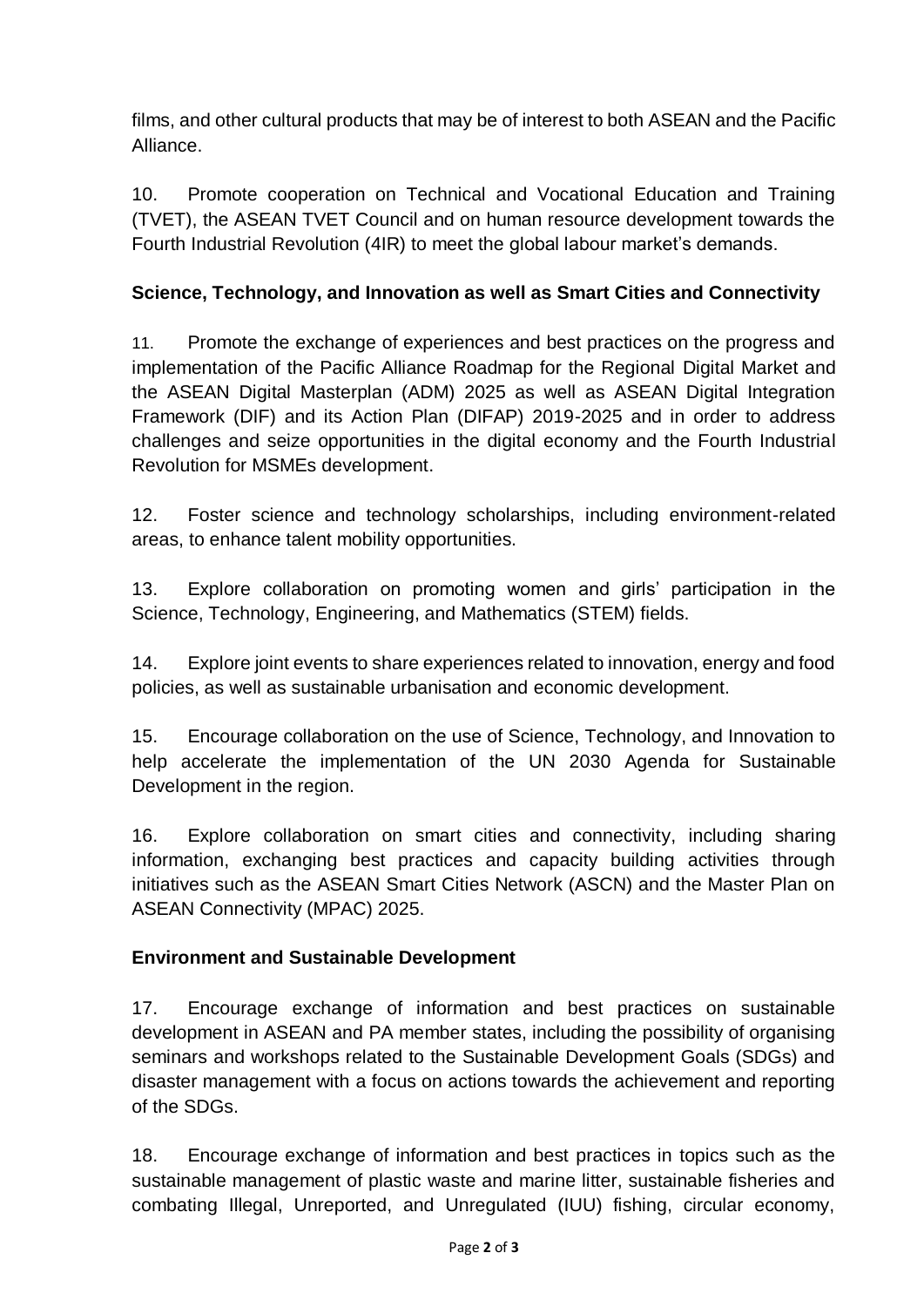films, and other cultural products that may be of interest to both ASEAN and the Pacific Alliance.

10. Promote cooperation on Technical and Vocational Education and Training (TVET), the ASEAN TVET Council and on human resource development towards the Fourth Industrial Revolution (4IR) to meet the global labour market's demands.

# **Science, Technology, and Innovation as well as Smart Cities and Connectivity**

11. Promote the exchange of experiences and best practices on the progress and implementation of the Pacific Alliance Roadmap for the Regional Digital Market and the ASEAN Digital Masterplan (ADM) 2025 as well as ASEAN Digital Integration Framework (DIF) and its Action Plan (DIFAP) 2019-2025 and in order to address challenges and seize opportunities in the digital economy and the Fourth Industrial Revolution for MSMEs development.

12. Foster science and technology scholarships, including environment-related areas, to enhance talent mobility opportunities.

13. Explore collaboration on promoting women and girls' participation in the Science, Technology, Engineering, and Mathematics (STEM) fields.

14. Explore joint events to share experiences related to innovation, energy and food policies, as well as sustainable urbanisation and economic development.

15. Encourage collaboration on the use of Science, Technology, and Innovation to help accelerate the implementation of the UN 2030 Agenda for Sustainable Development in the region.

16. Explore collaboration on smart cities and connectivity, including sharing information, exchanging best practices and capacity building activities through initiatives such as the ASEAN Smart Cities Network (ASCN) and the Master Plan on ASEAN Connectivity (MPAC) 2025.

### **Environment and Sustainable Development**

17. Encourage exchange of information and best practices on sustainable development in ASEAN and PA member states, including the possibility of organising seminars and workshops related to the Sustainable Development Goals (SDGs) and disaster management with a focus on actions towards the achievement and reporting of the SDGs.

18. Encourage exchange of information and best practices in topics such as the sustainable management of plastic waste and marine litter, sustainable fisheries and combating Illegal, Unreported, and Unregulated (IUU) fishing, circular economy,